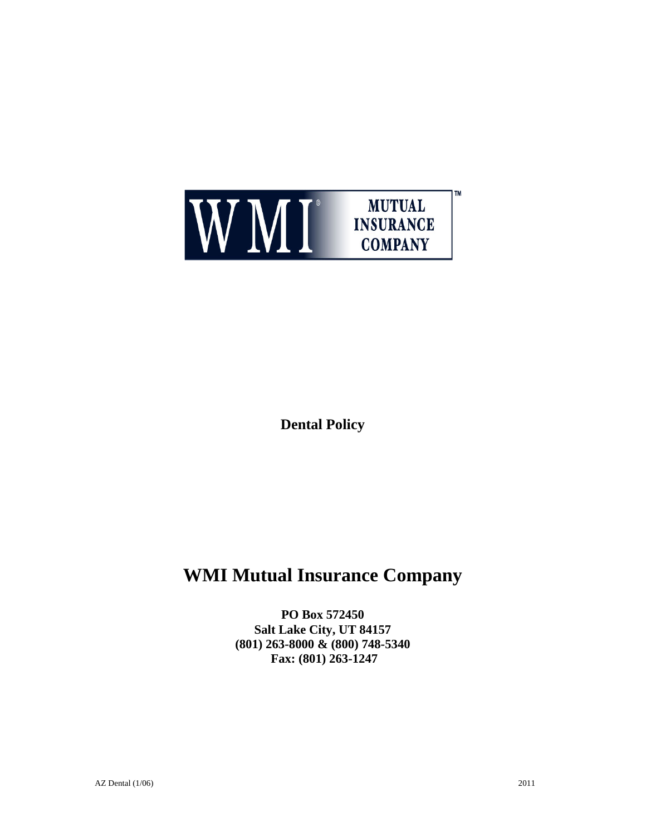

**Dental Policy** 

# **WMI Mutual Insurance Company**

**PO Box 572450 Salt Lake City, UT 84157 (801) 263-8000 & (800) 748-5340 Fax: (801) 263-1247**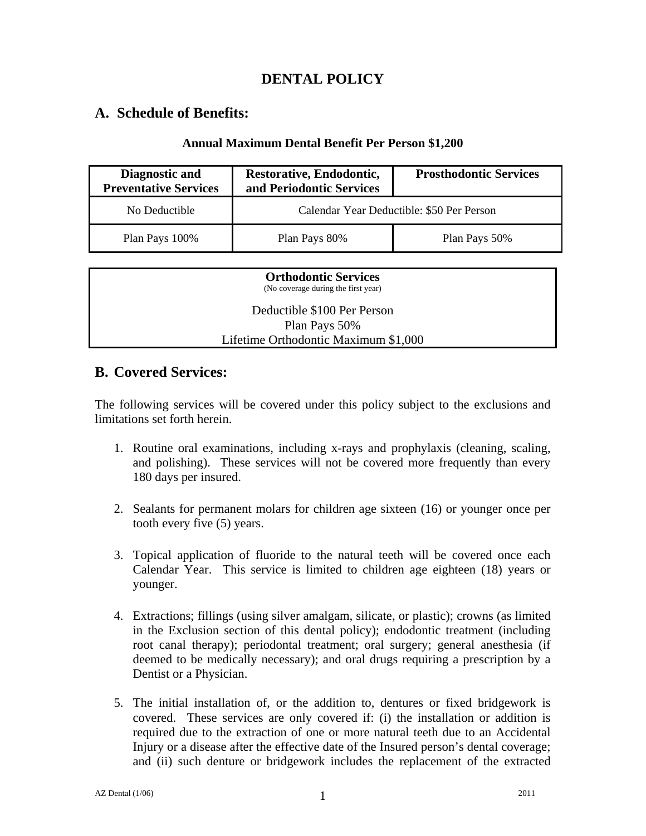## **DENTAL POLICY**

#### **A. Schedule of Benefits:**

#### **Annual Maximum Dental Benefit Per Person \$1,200**

| Diagnostic and<br><b>Preventative Services</b> | Restorative, Endodontic,<br>and Periodontic Services | <b>Prosthodontic Services</b> |
|------------------------------------------------|------------------------------------------------------|-------------------------------|
| No Deductible                                  | Calendar Year Deductible: \$50 Per Person            |                               |
| Plan Pays 100%                                 | Plan Pays 80%                                        | Plan Pays 50%                 |

| <b>Orthodontic Services</b><br>(No coverage during the first year) |
|--------------------------------------------------------------------|
| Deductible \$100 Per Person                                        |
| Plan Pays 50%                                                      |
| Lifetime Orthodontic Maximum \$1,000                               |

### **B. Covered Services:**

The following services will be covered under this policy subject to the exclusions and limitations set forth herein.

- 1. Routine oral examinations, including x-rays and prophylaxis (cleaning, scaling, and polishing). These services will not be covered more frequently than every 180 days per insured.
- 2. Sealants for permanent molars for children age sixteen (16) or younger once per tooth every five (5) years.
- 3. Topical application of fluoride to the natural teeth will be covered once each Calendar Year. This service is limited to children age eighteen (18) years or younger.
- 4. Extractions; fillings (using silver amalgam, silicate, or plastic); crowns (as limited in the Exclusion section of this dental policy); endodontic treatment (including root canal therapy); periodontal treatment; oral surgery; general anesthesia (if deemed to be medically necessary); and oral drugs requiring a prescription by a Dentist or a Physician.
- 5. The initial installation of, or the addition to, dentures or fixed bridgework is covered. These services are only covered if: (i) the installation or addition is required due to the extraction of one or more natural teeth due to an Accidental Injury or a disease after the effective date of the Insured person's dental coverage; and (ii) such denture or bridgework includes the replacement of the extracted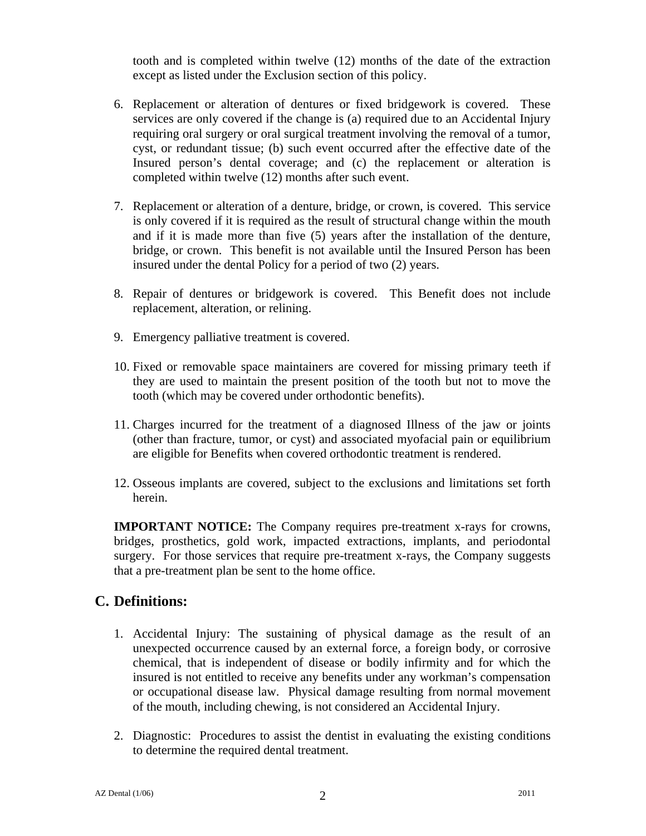tooth and is completed within twelve (12) months of the date of the extraction except as listed under the Exclusion section of this policy.

- 6. Replacement or alteration of dentures or fixed bridgework is covered. These services are only covered if the change is (a) required due to an Accidental Injury requiring oral surgery or oral surgical treatment involving the removal of a tumor, cyst, or redundant tissue; (b) such event occurred after the effective date of the Insured person's dental coverage; and (c) the replacement or alteration is completed within twelve (12) months after such event.
- 7. Replacement or alteration of a denture, bridge, or crown, is covered. This service is only covered if it is required as the result of structural change within the mouth and if it is made more than five (5) years after the installation of the denture, bridge, or crown. This benefit is not available until the Insured Person has been insured under the dental Policy for a period of two (2) years.
- 8. Repair of dentures or bridgework is covered. This Benefit does not include replacement, alteration, or relining.
- 9. Emergency palliative treatment is covered.
- 10. Fixed or removable space maintainers are covered for missing primary teeth if they are used to maintain the present position of the tooth but not to move the tooth (which may be covered under orthodontic benefits).
- 11. Charges incurred for the treatment of a diagnosed Illness of the jaw or joints (other than fracture, tumor, or cyst) and associated myofacial pain or equilibrium are eligible for Benefits when covered orthodontic treatment is rendered.
- 12. Osseous implants are covered, subject to the exclusions and limitations set forth herein.

**IMPORTANT NOTICE:** The Company requires pre-treatment x-rays for crowns, bridges, prosthetics, gold work, impacted extractions, implants, and periodontal surgery. For those services that require pre-treatment x-rays, the Company suggests that a pre-treatment plan be sent to the home office.

### **C. Definitions:**

- 1. Accidental Injury: The sustaining of physical damage as the result of an unexpected occurrence caused by an external force, a foreign body, or corrosive chemical, that is independent of disease or bodily infirmity and for which the insured is not entitled to receive any benefits under any workman's compensation or occupational disease law. Physical damage resulting from normal movement of the mouth, including chewing, is not considered an Accidental Injury.
- 2. Diagnostic: Procedures to assist the dentist in evaluating the existing conditions to determine the required dental treatment.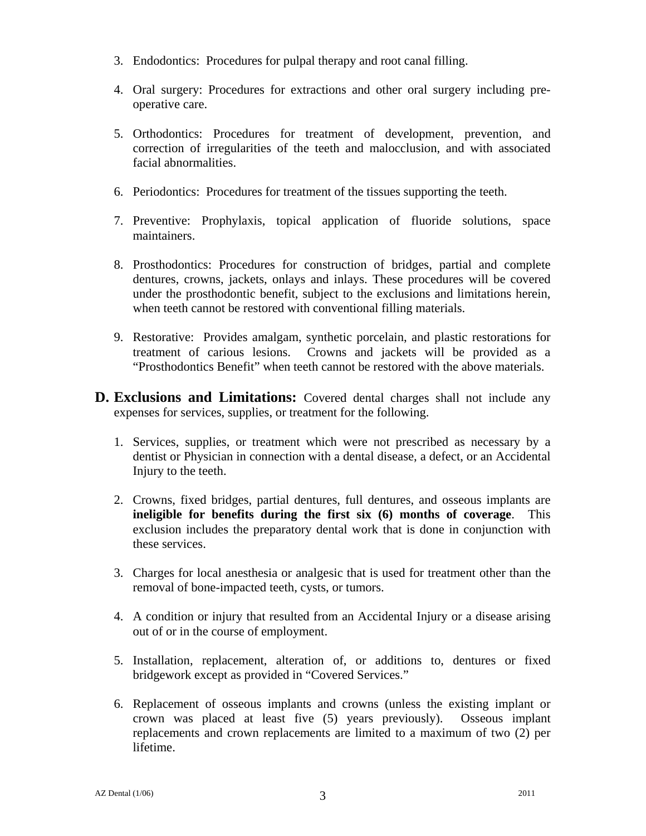- 3. Endodontics: Procedures for pulpal therapy and root canal filling.
- 4. Oral surgery: Procedures for extractions and other oral surgery including preoperative care.
- 5. Orthodontics: Procedures for treatment of development, prevention, and correction of irregularities of the teeth and malocclusion, and with associated facial abnormalities.
- 6. Periodontics: Procedures for treatment of the tissues supporting the teeth.
- 7. Preventive: Prophylaxis, topical application of fluoride solutions, space maintainers.
- 8. Prosthodontics: Procedures for construction of bridges, partial and complete dentures, crowns, jackets, onlays and inlays. These procedures will be covered under the prosthodontic benefit, subject to the exclusions and limitations herein, when teeth cannot be restored with conventional filling materials.
- 9. Restorative: Provides amalgam, synthetic porcelain, and plastic restorations for treatment of carious lesions. Crowns and jackets will be provided as a "Prosthodontics Benefit" when teeth cannot be restored with the above materials.
- **D. Exclusions and Limitations:** Covered dental charges shall not include any expenses for services, supplies, or treatment for the following.
	- 1. Services, supplies, or treatment which were not prescribed as necessary by a dentist or Physician in connection with a dental disease, a defect, or an Accidental Injury to the teeth.
	- 2. Crowns, fixed bridges, partial dentures, full dentures, and osseous implants are **ineligible for benefits during the first six (6) months of coverage**. This exclusion includes the preparatory dental work that is done in conjunction with these services.
	- 3. Charges for local anesthesia or analgesic that is used for treatment other than the removal of bone-impacted teeth, cysts, or tumors.
	- 4. A condition or injury that resulted from an Accidental Injury or a disease arising out of or in the course of employment.
	- 5. Installation, replacement, alteration of, or additions to, dentures or fixed bridgework except as provided in "Covered Services."
	- 6. Replacement of osseous implants and crowns (unless the existing implant or crown was placed at least five (5) years previously). Osseous implant replacements and crown replacements are limited to a maximum of two (2) per lifetime.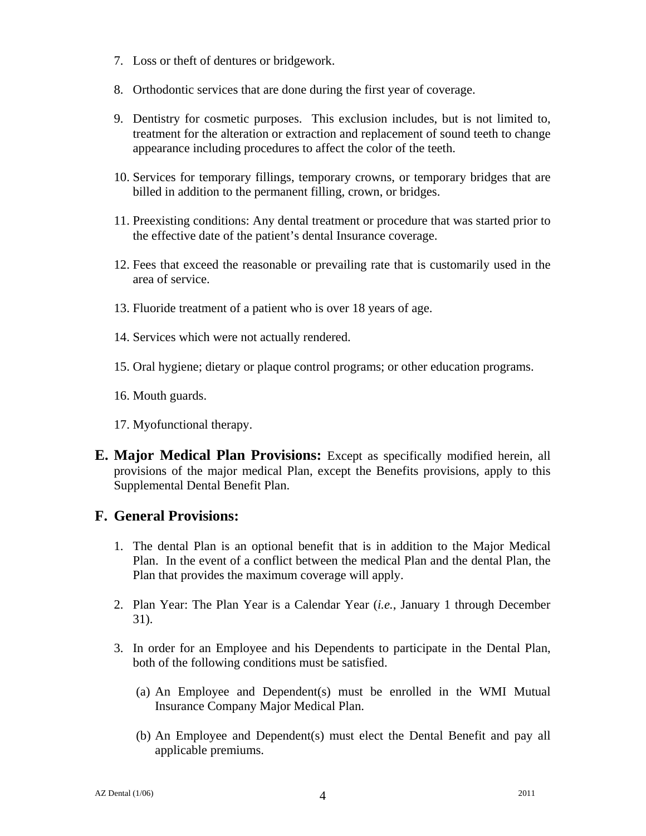- 7. Loss or theft of dentures or bridgework.
- 8. Orthodontic services that are done during the first year of coverage.
- 9. Dentistry for cosmetic purposes. This exclusion includes, but is not limited to, treatment for the alteration or extraction and replacement of sound teeth to change appearance including procedures to affect the color of the teeth.
- 10. Services for temporary fillings, temporary crowns, or temporary bridges that are billed in addition to the permanent filling, crown, or bridges.
- 11. Preexisting conditions: Any dental treatment or procedure that was started prior to the effective date of the patient's dental Insurance coverage.
- 12. Fees that exceed the reasonable or prevailing rate that is customarily used in the area of service.
- 13. Fluoride treatment of a patient who is over 18 years of age.
- 14. Services which were not actually rendered.
- 15. Oral hygiene; dietary or plaque control programs; or other education programs.
- 16. Mouth guards.
- 17. Myofunctional therapy.
- **E. Major Medical Plan Provisions:** Except as specifically modified herein, all provisions of the major medical Plan, except the Benefits provisions, apply to this Supplemental Dental Benefit Plan.

### **F. General Provisions:**

- 1. The dental Plan is an optional benefit that is in addition to the Major Medical Plan. In the event of a conflict between the medical Plan and the dental Plan, the Plan that provides the maximum coverage will apply.
- 2. Plan Year: The Plan Year is a Calendar Year (*i.e.*, January 1 through December 31).
- 3. In order for an Employee and his Dependents to participate in the Dental Plan, both of the following conditions must be satisfied.
	- (a) An Employee and Dependent(s) must be enrolled in the WMI Mutual Insurance Company Major Medical Plan.
	- (b) An Employee and Dependent(s) must elect the Dental Benefit and pay all applicable premiums.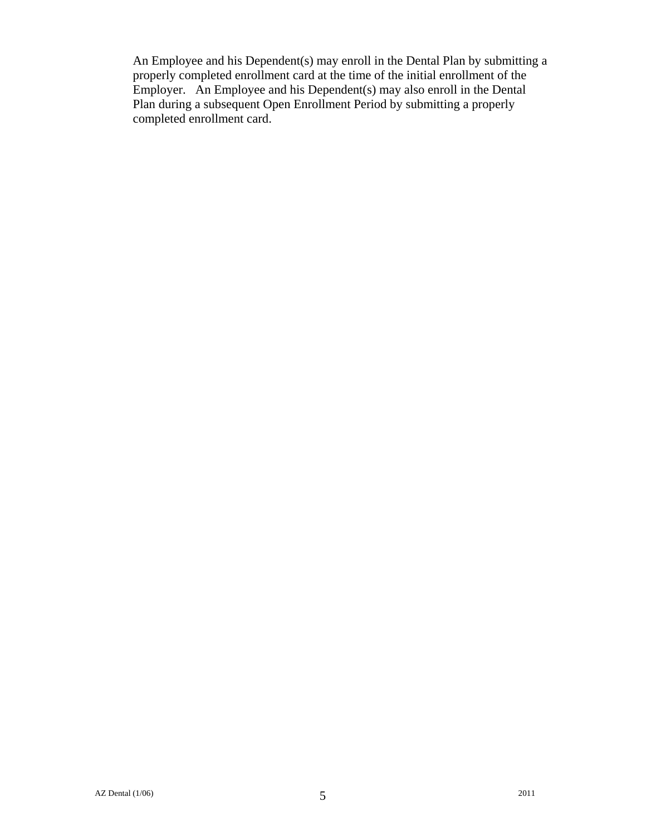An Employee and his Dependent(s) may enroll in the Dental Plan by submitting a properly completed enrollment card at the time of the initial enrollment of the Employer. An Employee and his Dependent(s) may also enroll in the Dental Plan during a subsequent Open Enrollment Period by submitting a properly completed enrollment card.